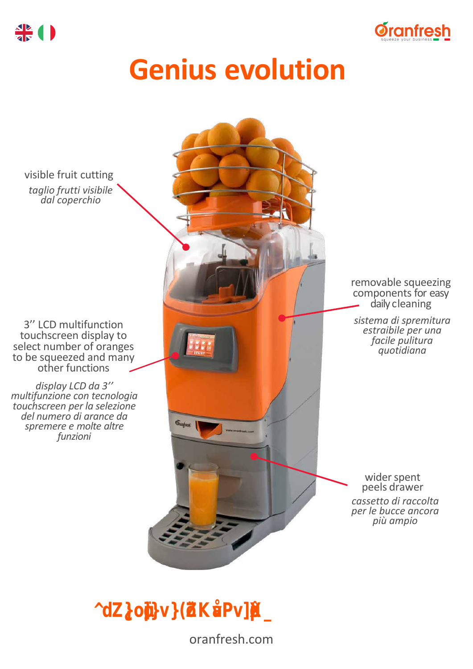

# **Genius evolution**

visible fruit cutting *taglio frutti visibile dal coperchio*

3'' LCD multifunction touchscreen display to select number of oranges to be squeezed and many other functions

*display LCD da 3'' multifunzione con tecnologia touchscreen per la selezione del numero di arance da spremere e molte altre funzioni*

removable squeezing components for easy daily cleaning *sistema di spremitura estraibile per una facile pulitura quotidiana*  $\sigma_{\text{target}}$ wider spent peels drawer *cassetto di raccolta per le bucce ancora più ampio*

*"The evolution of the Orangenius."*

oranfresh.com